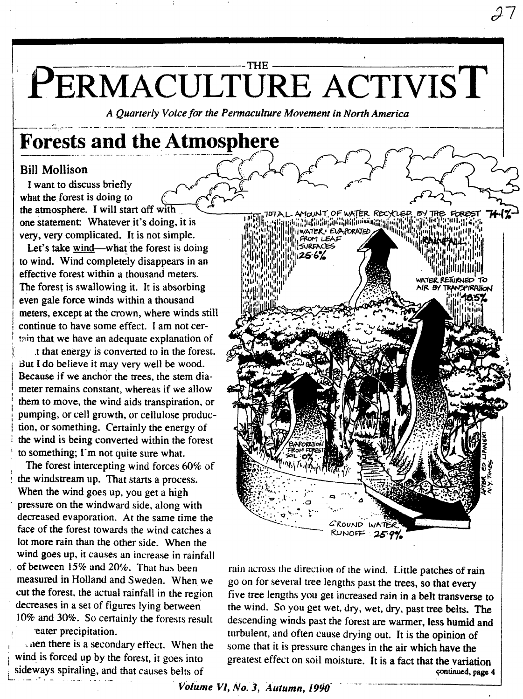## $-THE =$ PERMACULTURE ACTIVIST

A Ouarterly Voice for the Permaculture Movement in North America

# **Forests and the Atmosphere**

### **Bill Mollison**

I want to discuss briefly what the forest is doing to the atmosphere. I will start off with one statement: Whatever it's doing, it is very, very complicated. It is not simple.

Let's take wind—what the forest is doing to wind. Wind completely disappears in an effective forest within a thousand meters. The forest is swallowing it. It is absorbing even gale force winds within a thousand meters, except at the crown, where winds still continue to have some effect. I am not certain that we have an adequate explanation of

t that energy is converted to in the forest. But I do believe it may very well be wood. Because if we anchor the trees, the stem diameter remains constant, whereas if we allow them to move, the wind aids transpiration, or pumping, or cell growth, or cellulose production, or something. Certainly the energy of the wind is being converted within the forest to something; I'm not quite sure what.

The forest intercepting wind forces 60% of the windstream up. That starts a process. When the wind goes up, you get a high pressure on the windward side, along with decreased evaporation. At the same time the face of the forest towards the wind catches a lot more rain than the other side. When the wind goes up, it causes an increase in rainfall of between 15% and 20%. That has been measured in Holland and Sweden. When we cut the forest, the actual rainfall in the region decreases in a set of figures lying between 10% and 30%. So certainly the forests result eater precipitation.

anen there is a secondary effect. When the wind is forced up by the forest, it goes into sideways spiraling, and that causes belts of



rain across the direction of the wind. Little patches of rain go on for several tree lengths past the trees, so that every five tree lengths you get increased rain in a belt transverse to the wind. So you get wet, dry, wet, dry, past tree belts. The descending winds past the forest are warmer, less humid and turbulent, and often cause drying out. It is the opinion of some that it is pressure changes in the air which have the greatest effect on soil moisture. It is a fact that the variation continued, page 4

Volume VI, No. 3, Autumn, 1990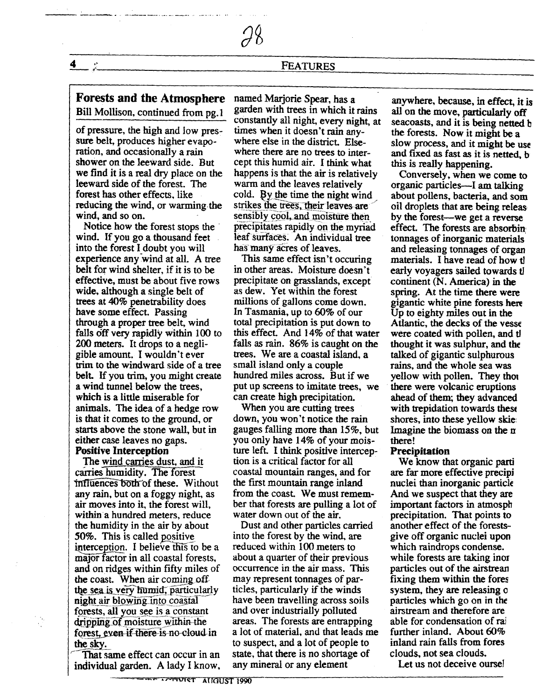## **Forests and the Atmosphere** named Marjorie Spear, has a<br>Bill Mollison, continued from ng 1 garden with trees in which it rains

sure belt, produces higher evapo-<br>ration, and occasionally a rain shower on the leeward side. But<br>we find it is a real dry place on the we find it is a real dry place on the happens is that the air is relatively leeward side of the forest. The warm and the leaves relatively leeward side of the forest. The warm and the leaves relatively<br>forest has other effects, like cold. By the time the night win reducing the wind, or warming the wind, and so on.

wind. If you go a thousand feet leaf surfaces. An individual into the forest I doubt you will has many acres of leaves. into the forest I doubt you will has many acres of leaves.<br>experience any wind at all. A tree This same effect isn't occuring experience any wind at all. A tree belt for wind shelter, if it is to be belt for wind shelter, if it is to be in other areas. Moisture doesn't<br>effective, must be about five rows precipitate on grasslands, except wide, although a single belt of as dew. Yet within the forest trees at  $40\%$  penetrability does millions of gallons come down. trees at 40% penetrability does have some effect. Passing have some effect. Passing In Tasmania, up to 60% of our through a proper tree belt, wind total precipitation is put down falls off very rapidly within 100 to this effect. And 14% of that water  $200$  meters. It drops to a negli-<br>falls as rain. 86% is caught on the 200 meters. It drops to a negli-<br>gible amount. I wouldn't ever trim to the windward side of a tree small island only a couple<br>belt. If you trim, you might create hundred miles across. But if we belt. If you trim, you might create a wind tunnel below the trees. a wind tunnel below the trees, put up screens to imitate trees, we which is a little miserable for can create high precipitation. animals. The idea of a hedge row When you are cutting trees<br>is that it comes to the ground, or down, you won't notice the rain is that it comes to the ground, or starts above the stone wall, but in starts above the stone wall, but in gauges falling more than 15%, but<br>either case leaves no gaps. you only have 14% of your mois-

The wind carries dust, and it carries humidity. The forest  $intluences$  both of these. Without the first mountain range inland any rain, but on a foggy night, as from the coast. We must rememany rain, but on a foggy night, as air moves into it, the forest will, within a hundred meters, reduce the humidity in the air by about Dust and other particles carried<br>50%. This is called positive into the forest by the wind, are 50%. This is called positive into the forest by the wind, are interception. I believe this to be a reduced within  $100$  meters to interception. I believe this to be a reduced within  $100$  meters to major factor in all coastal forests, about a quarter of their previous major factor in all coastal forests, about a quarter of their previous<br>and on ridges within fifty miles of occurrence in the air mass. This and on ridges within fifty miles of occurrence in the air mass. This the coast. When air coming off may represent tonnages of parthe coast. When air coming of may represent tonnages of par-<br>the sea is very funnid. particularly ticles, particularly if the winds the sea is very humid, particularly ticles, particularly if the winds<br>night air blowing into coastal have been travelling across soils night air blowing into coastal have been travelling across so<br>forests, all you see is a constant and over industrially polluted forests, all you see is a constant and over industrially polluted<br>dripping of moisture within the areas. The forests are entrapping forest, even if there is no cloud in the sky.

That same effect can occur in an state, that there is no shortage in the state of the state of the individual parden. A lady I know, any mineral or any element individual garden. A lady I know,

Bill Mollison, continued from pg.1 garden with trees in which it rains constantly all night, every night, at of pressure, the high and low pres-<br>times when it doesn't rain anytimes when it doesn't rain any-<br>where else in the district. Elsewhere there are no trees to inter-<br>cept this humid air. I think what formulation. By the time the night wind strikes the trees, their leaves are ind, and so on. sensibly cool, and moisture then<br>Notice how the forest stops the precipitates rapidly on the myria precipitates rapidly on the myriad<br>leaf surfaces. An individual tree

> precipitate on grasslands, except<br>as dew. Yet within the forest total precipitation is put down to<br>this effect. And 14% of that water trees. We are a coastal island, a small island only a couple can create high precipitation.<br>When you are cutting trees

either case leaves no gaps. you only have 14% of your mois-<br> **Positive Interception** ture left. I think positive interception **Positive interception** is a critical factor for all coastal mountain ranges, and for<br>the first mountain range inland ber that forests are pulling a lot of water down out of the air.

dripping of moisture within the areas. The forests are entrapping<br>forest, even if there is no cloud in a lot of material, and that leads me to suspect, and a lot of people to<br>state, that there is no shortage of

anywhere. because. in effect, it is all on the move. particularly off seacoasts. and it is being netted b the forests. Now it might be a slow process, and it might be use and fixed as fast as it is netted, b this is really happening.

Conversely, when we come to organic particles-I am talking about pollens. bacteria. and som oil droplets that are being releas by the forest-we get a reverse effect. The forests are absorbin' tonnages of inorganic materials' materials. I have read of how the early voyagers sailed towards t1 continent (N. America) in the spring. At the time there were gigantic white pine forests here Up to eighty miles out in the Atlantic, the decks of the vesse were coated with pollen, and th thought it was sulphur, and the talked of gigantic sulphurous rains. and the whole sea was yellow with pollen. They thou there were volcanic eruptions ahead of them; they advanced with trepidation towards these shores. into these yellow skie: Imagine the biomass on the  $\pi$ there!

#### **Precipitation**

We know that organic patti are far more effective precipi nuclei than inorganic particle And we suspect that they are important factors in atmosph precipitation. That points to another effect of the forestsgive off organic nuclei upon which raindrops condense. while forests are taking inor particles out of the airstrean fixing them within the fores system, they are releasing 0 particles which go on in *the* airstream and therefore are able for condensation of rai further inland. About 60% inland rain falls from fores clouds, not sea clouds.

Let us not deceive oursel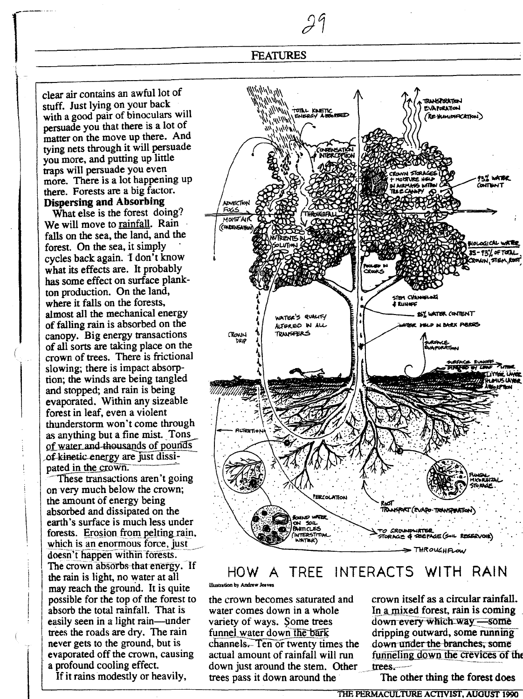clear air contains an awful lot of stuff. Just lying on your back with a good pair of binoculars will persuade you that there is a lot of matter on the move up there. And tying nets through it will persuade you more, and putting up little traps will persuade you even more. There is a lot happening up there. Forests are a big factor. **Dispersing and Absorbing** 

What else is the forest doing? We will move to rainfall. Rain falls on the sea, the land, and the forest. On the sea, it simply cycles back again. I don't know what its effects are. It probably has some effect on surface plankton production. On the land, where it falls on the forests, almost all the mechanical energy of falling rain is absorbed on the canopy. Big energy transactions of all sorts are taking place on the crown of trees. There is frictional slowing; there is impact absorption; the winds are being tangled and stopped; and rain is being evaporated. Within any sizeable forest in leaf, even a violent thunderstorm won't come through as anything but a fine mist. Tons of water and thousands of pounds of kinetic energy are just dissipated in the crown.

These transactions aren't going on very much below the crown; the amount of energy being absorbed and dissipated on the earth's surface is much less under forests. Erosion from pelting rain, which is an enormous force, just doesn't happen within forests. The crown absorbs that energy. If the rain is light, no water at all may reach the ground. It is quite possible for the top of the forest to absorb the total rainfall. That is easily seen in a light rain—under trees the roads are dry. The rain never gets to the ground, but is evaporated off the crown, causing a profound cooling effect.

If it rains modestly or heavily,



#### **TREE INTERACTS** WITH RAIN HOW. A illustration by Andrew Jeeves

the crown becomes saturated and water comes down in a whole variety of ways. Some trees funnel water down the bark channels. Ten or twenty times the actual amount of rainfall will run down just around the stem. Other trees pass it down around the

crown itself as a circular rainfall. In a mixed forest, rain is coming down every which way -some dripping outward, some running down under the branches, some funneling down the crevices of the trees.

The other thing the forest does

THE PERMACULTURE ACTIVIST, AUGUST 1990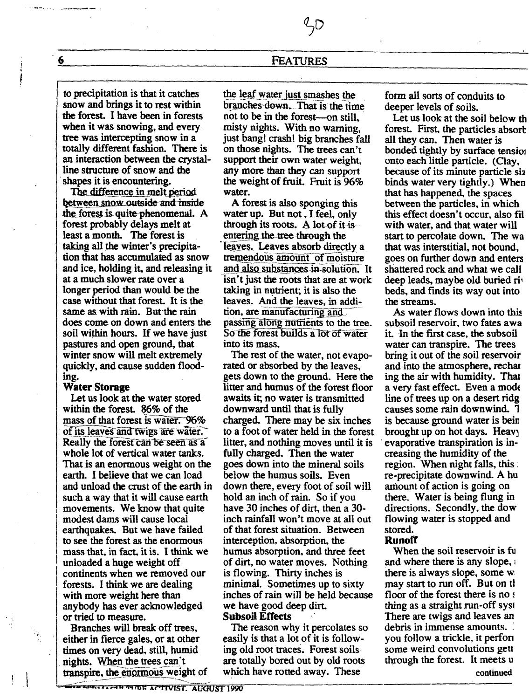$\mathcal{L}$ D

to precipitation is that it catches snow and brings it to rest within the forest. I have been in forests when it was snowing, and every tree was intercepting snow in a totally different fashion. There is an interaction between the crystalline structure of snow and the shapes it is encountering.

The difference in melt period between snow outside and inside the forest is quite phenomenal. A forest probably delays melt at least a month. The forest is taking all the winter's precipitation that has accumulated as snow and ice, holding it, and releasing it at a much slower rate over a longer period than would be the case without that forest. It is the same as with rain. But the rain does come on down and enters the soil within hours. If we have just pastures and open ground, that winter snow will melt extremely quickly, and cause sudden flooding.

#### **Water Storage**

Let us look at the water stored within the forest. 86% of the mass of that forest is water. 96% of its leaves and twigs are water. Really the forest can be seen as a whole lot of vertical water tanks. That is an enormous weight on the earth. I believe that we can load and unload the crust of the earth in such a way that it will cause earth movements. We know that quite modest dams will cause local earthquakes. But we have failed to see the forest as the enormous mass that, in fact, it is. I think we unloaded a huge weight off continents when we removed our forests. I think we are dealing with more weight here than anybody has ever acknowledged or tried to measure.

Branches will break off trees, either in fierce gales, or at other times on very dead, still, humid nights. When the trees can't transpire, the enormous weight of the leaf water just smashes the branches down. That is the time not to be in the forest—on still. misty nights. With no warning. just bang! crash! big branches fall on those nights. The trees can't support their own water weight, any more than they can support the weight of fruit. Fruit is 96% water.

A forest is also sponging this water up. But not, I feel, only through its roots. A lot of it is entering the tree through the leaves. Leaves absorb directly a tremendous amount of moisture and also substances in solution. It isn't just the roots that are at work taking in nutrient; it is also the leaves. And the leaves, in addition, are manufacturing and passing along nutrients to the tree. So the forest builds a lot of water into its mass.

The rest of the water, not evaporated or absorbed by the leaves. gets down to the ground. Here the litter and humus of the forest floor awaits it; no water is transmitted downward until that is fully charged. There may be six inches to a foot of water held in the forest litter, and nothing moves until it is fully charged. Then the water goes down into the mineral soils below the humus soils. Even down there, every foot of soil will hold an inch of rain. So if you have 30 inches of dirt, then a 30inch rainfall won't move at all out of that forest situation. Between interception, absorption, the humus absorption, and three feet of dirt, no water moves. Nothing is flowing. Thirty inches is minimal. Sometimes up to sixty inches of rain will be held because we have good deep dirt.

#### **Subsoil Effects**

The reason why it percolates so easily is that a lot of it is following old root traces. Forest soils are totally bored out by old roots which have rotted away. These

form all sorts of conduits to deeper levels of soils.

Let us look at the soil below th forest. First, the particles absorb all they can. Then water is bonded tightly by surface tension onto each little particle. (Clay, because of its minute particle siz binds water very tightly.) When that has happened, the spaces between the particles, in which this effect doesn't occur, also fil with water, and that water will start to percolate down. The wa that was interstitial, not bound, goes on further down and enters shattered rock and what we call deep leads, maybe old buried riv beds, and finds its way out into the streams.

As water flows down into this subsoil reservoir, two fates awa it. In the first case, the subsoil water can transpire. The trees bring it out of the soil reservoir and into the atmosphere, rechar ing the air with humidity. That a very fast effect. Even a mode line of trees up on a desert ridge causes some rain downwind. T is because ground water is bein brought up on hot days. Heavy evaporative transpiration is increasing the humidity of the region. When night falls, this: re-precipitate downwind. A hu amount of action is going on there. Water is being flung in directions. Secondly, the dow flowing water is stopped and stored.

#### **Runoff**

When the soil reservoir is fu and where there is any slope, there is always slope, some w may start to run off. But on th floor of the forest there is no s thing as a straight run-off syst There are twigs and leaves an debris in immense amounts. you follow a trickle, it perform some weird convolutions gett through the forest. It meets u continued

6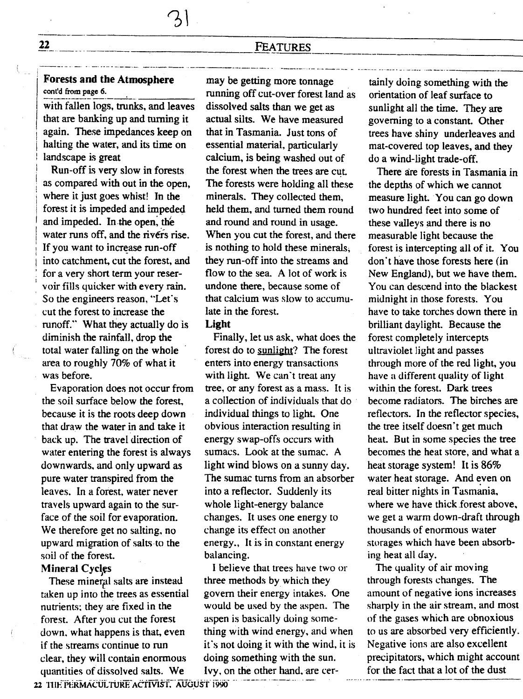### $\frac{51}{22}$  FEATURES <u>22 FEATURES</u>

---- -., \_. \_.-- ..--- \_.\_\_ .\_. .\_.\_-0 \_\_ ..\_\_--.- ..-- ...\_. . . ~ .\_\_.\_. . \_

# **Forests and the Atmosphere** may be getting more tonnage<br>cont'd from page 6. The manning of functioner forest land

with fallen logs, trunks, and leaves dissolved salts than we get as that are banking up and turning it actual silts. We have measured that are banking up and turning it again. These impedances keep on that in Tasmania. Just tons of halting the water, and its time on essential material, particularly halting the water, and its time on essential material, particularly landscape is great calcium, is being washed out of

Run-off is very slow in forests<br>as compared with out in the open, where it just goes whist! In the minerals. They collected them, forest it is impeded and impeded held them, and turned them round and impeded. In the open, the<br>water runs off, and the rivers rise. into catchment, cut the forest, and they run-off into the streams and<br>for a very short term your reser-<br>flow to the sea. A lot of work is for a very short term your reser-<br>voir fills quicker with every rain. undone there, because some of voir fills quicker with every rain. undone there, because some of<br>So the engineers reason. "Let's that calcium was slow to accumu-So the engineers reason, "Let's that calcium was cut the forest to increase the late in the forest. cut the forest to increase the runoff." What they actually do is Light<br>diminish the rainfall, drop the Fina diminish the rainfall, drop the Finally, let us ask, what does the total water falling on the whole forest do to sunlight? The forest area to roughly 70% of what it

the soil surface below the forest, because it is the roots deep down individual things to light. One that draw the water in and take it obvious interaction resulting in back up. The travel direction of energy swap-offs occurs with water entering the forest is always sumacs. Look at the sumac. A water entering the forest is always<br>downwards, and only upward as pure water transpired from the The sumac turns from an absorber and absorber the The sumac turns from an absorber and the sum of the sum of the sum of the sum of the sum of the sum of the sum of the sum of the sum of the s leaves. In a forest, water never into a reflector. Suddenly it avels upward again to the sur-<br>whole light-energy balance travels upward again to the sur-<br>face of the soil for evaporation. changes. It uses one energy to face of the soil for evaporation. changes. It uses one energy We therefore get no salting, no change its effect on another We therefore get no salting, no change its effect on another<br>upward migration of salts to the energy, It is in constant energy upward migration of salts to the soil of the forest. balancing.

taken up into the trees as essential govern their energy intakes. One nutrients: they are fixed in the would be used by the aspen. The nutrients; they are fixed in the would be used by the aspen. T<br>forest. After you cut the forest aspen is basically doing someforest. After you cut the forest clear, they will contain enormous doing something with the sun. quantities of dissolved salts. We Ivy, on the other hand, are cer-

running off cut-over forest land as<br>dissolved salts than we get as calcium, is being washed out of<br>the forest when the trees are cut. The forests were holding all these held them, and turned them round<br>and round and round in usage. water runs off, and the rivers rise. When you cut the forest, and there If you want to increase run-off is nothing to hold these minerals. is nothing to hold these minerals;<br>they run-off into the streams and

forest do to sunlight? The forest enters into energy transactions was before. with light. We can't treat any<br>Evaporation does not occur from tree, or any forest as a mass. It is Evaporation does not occur from tree, or any forest as a mass. It is in estil surface below the forest. a collection of individuals that do obvious interaction resulting in<br>energy swap-offs occurs with light wind blows on a sunny day.<br>The sumac turns from an absorber

Mineral Cycles<br>
These mineral salts are instead<br>
I believe that trees have two or<br>
These mineral salts are instead<br>
three methods by which they These mineral salts are instead three methods by which they<br>ken up into the trees as essential govern their energy intakes. One down, what happens is that, even thing with wind energy, and when if the streams continue to run it's not doing it with the wind, it is

tainly doing something with the orientation of leaf surface to sunlight all the time. They are governing to a constant. Other trees have shiny underleaves and mat-covered top leaves, and they do a wind-light trade-off.

There are forests in Tasmania in the depths of which we cannot measure light. You can go down two hundred feet into some of these valleys and there is no measurable light because the forest is intercepting all of it. You don't have those forests here (in New England), but we have them. You can descend into the blackest midnight in those forests. You have to take torches down there in brilliant daylight. Because the forest completely intercepts ultraviolet light and passes through more of the red light, you have a different quality of light within the forest. Dark trees become radiators. The birches are reflectors. In the reflector species, the tree itself doesn't get much heat. But in some species the tree becomes the heat store, and what a heat storage system! It is 86% water heat storage. And even on real bitter nights in Tasmania, where we have thick forest above. we get a warm down-draft through thousands of enormous water storages which have been absorbing heat all day.

for the fact that a lot of the dust The quality of air moving through forests changes. The amount of negative ions increases sharply in the air stream, and most of the gases which are obnoxious to us are absorbed very efficiently. Negative ions are also excellent precipitators, which might account

<sup>22</sup> THE PERMACULTURE ACTIVIST. AUGUST 1990